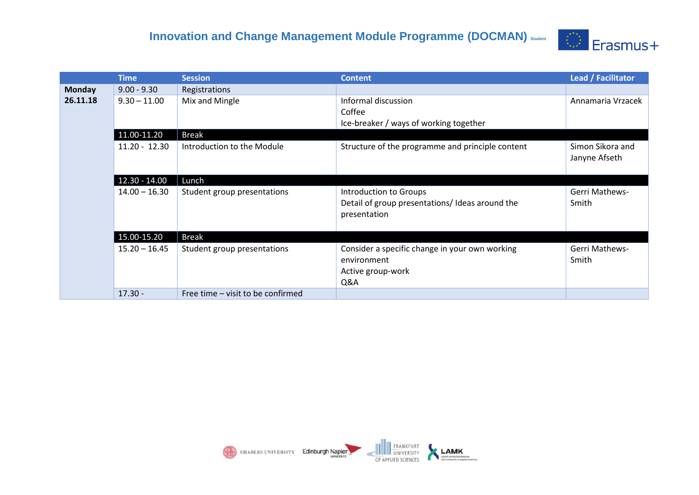## **Innovation and Change Management Module Programme (DOCMAN)** Student **COMAN** Erasmus +



|               | <b>Time</b>     | <b>Session</b>                    | <b>Content</b>                                                                            | Lead / Facilitator                |
|---------------|-----------------|-----------------------------------|-------------------------------------------------------------------------------------------|-----------------------------------|
| <b>Monday</b> | $9.00 - 9.30$   | Registrations                     |                                                                                           |                                   |
| 26.11.18      | $9.30 - 11.00$  | Mix and Mingle                    | Informal discussion<br>Coffee<br>Ice-breaker / ways of working together                   | Annamaria Vrzacek                 |
|               | 11.00-11.20     | <b>Break</b>                      |                                                                                           |                                   |
|               | $11.20 - 12.30$ | Introduction to the Module        | Structure of the programme and principle content                                          | Simon Sikora and<br>Janyne Afseth |
|               | $12.30 - 14.00$ | Lunch                             |                                                                                           |                                   |
|               | $14.00 - 16.30$ | Student group presentations       | Introduction to Groups<br>Detail of group presentations/Ideas around the<br>presentation  | Gerri Mathews-<br>Smith           |
|               | 15.00-15.20     | <b>Break</b>                      |                                                                                           |                                   |
|               | $15.20 - 16.45$ | Student group presentations       | Consider a specific change in your own working<br>environment<br>Active group-work<br>Q&A | <b>Gerri Mathews-</b><br>Smith    |
|               | $17.30 -$       | Free time – visit to be confirmed |                                                                                           |                                   |

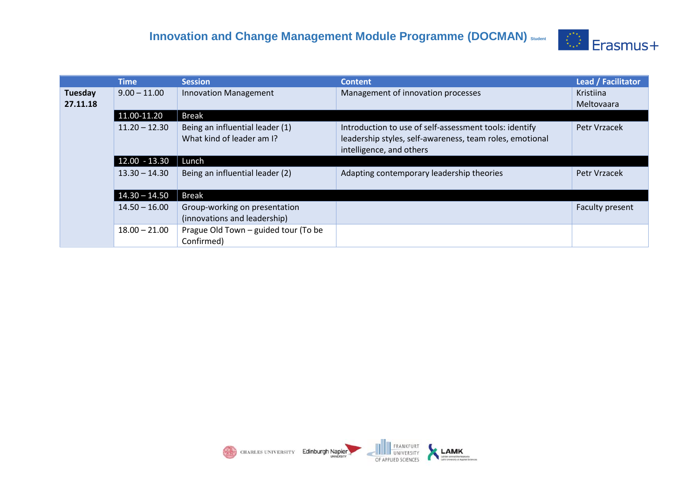

|                     | <b>Time</b>     | <b>Session</b>                                                | <b>Content</b>                                                                                                                                 | Lead / Facilitator      |
|---------------------|-----------------|---------------------------------------------------------------|------------------------------------------------------------------------------------------------------------------------------------------------|-------------------------|
| Tuesday<br>27.11.18 | $9.00 - 11.00$  | <b>Innovation Management</b>                                  | Management of innovation processes                                                                                                             | Kristiina<br>Meltovaara |
|                     | 11.00-11.20     | <b>Break</b>                                                  |                                                                                                                                                |                         |
|                     | $11.20 - 12.30$ | Being an influential leader (1)<br>What kind of leader am I?  | Introduction to use of self-assessment tools: identify<br>leadership styles, self-awareness, team roles, emotional<br>intelligence, and others | Petr Vrzacek            |
|                     | $12.00 - 13.30$ | Lunch                                                         |                                                                                                                                                |                         |
|                     | $13.30 - 14.30$ | Being an influential leader (2)                               | Adapting contemporary leadership theories                                                                                                      | Petr Vrzacek            |
|                     | $14.30 - 14.50$ | <b>Break</b>                                                  |                                                                                                                                                |                         |
|                     | $14.50 - 16.00$ | Group-working on presentation<br>(innovations and leadership) |                                                                                                                                                | Faculty present         |
|                     | $18.00 - 21.00$ | Prague Old Town - guided tour (To be<br>Confirmed)            |                                                                                                                                                |                         |

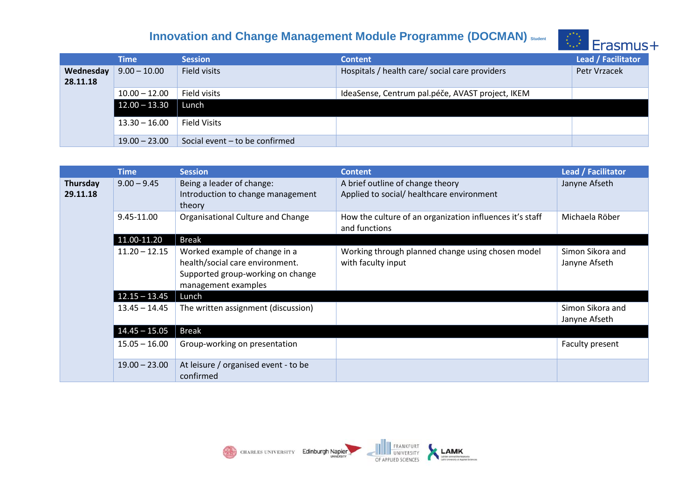## **Innovation and Change Management Module Programme (DOCMAN)** Student **Example 2 (2)** Erasmus +



|                              | <b>Time</b>     | <b>Session</b>                 | <b>Content</b>                                   | Lead / Facilitator |
|------------------------------|-----------------|--------------------------------|--------------------------------------------------|--------------------|
| <b>Wednesday</b><br>28.11.18 | $9.00 - 10.00$  | Field visits                   | Hospitals / health care/ social care providers   | Petr Vrzacek       |
|                              | $10.00 - 12.00$ | Field visits                   | IdeaSense, Centrum pal.péče, AVAST project, IKEM |                    |
|                              | $12.00 - 13.30$ | Lunch                          |                                                  |                    |
|                              | $13.30 - 16.00$ | <b>Field Visits</b>            |                                                  |                    |
|                              | $19.00 - 23.00$ | Social event - to be confirmed |                                                  |                    |

|                             | <b>Time</b>     | <b>Session</b>                                                                                                               | <b>Content</b>                                                                | <b>Lead / Facilitator</b>         |
|-----------------------------|-----------------|------------------------------------------------------------------------------------------------------------------------------|-------------------------------------------------------------------------------|-----------------------------------|
| <b>Thursday</b><br>29.11.18 | $9.00 - 9.45$   | Being a leader of change:<br>Introduction to change management<br>theory                                                     | A brief outline of change theory<br>Applied to social/ healthcare environment | Janyne Afseth                     |
|                             | 9.45-11.00      | Organisational Culture and Change                                                                                            | How the culture of an organization influences it's staff<br>and functions     | Michaela Röber                    |
|                             | 11.00-11.20     | <b>Break</b>                                                                                                                 |                                                                               |                                   |
|                             | $11.20 - 12.15$ | Worked example of change in a<br>health/social care environment.<br>Supported group-working on change<br>management examples | Working through planned change using chosen model<br>with faculty input       | Simon Sikora and<br>Janyne Afseth |
|                             | $12.15 - 13.45$ | Lunch                                                                                                                        |                                                                               |                                   |
|                             | $13.45 - 14.45$ | The written assignment (discussion)                                                                                          |                                                                               | Simon Sikora and<br>Janyne Afseth |
|                             | $14.45 - 15.05$ | <b>Break</b>                                                                                                                 |                                                                               |                                   |
|                             | $15.05 - 16.00$ | Group-working on presentation                                                                                                |                                                                               | Faculty present                   |
|                             | $19.00 - 23.00$ | At leisure / organised event - to be<br>confirmed                                                                            |                                                                               |                                   |